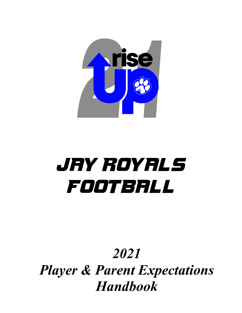

# **Jay royals football**

# *2021 Player & Parent Expectations Handbook*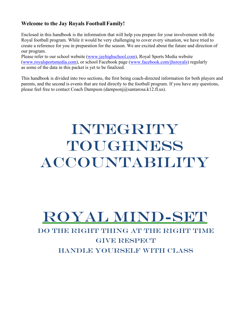# **Welcome to the Jay Royals Football Family!**

Enclosed in this handbook is the information that will help you prepare for your involvement with the Royal football program. While it would be very challenging to cover every situation, we have tried to create a reference for you in preparation for the season. We are excited about the future and direction of our program.

Please refer to our school website [\(www.jayhighschool.com\)](http://www.jayhighschool.com/), Royal Sports Media website [\(www.royalsportsmedia.com\)](http://www.royalsportsmedia.com/), or school Facebook page [\(www.facebook.com/jhsroyals\)](http://www.facebook.com/jhsroyals) regularly as some of the data in this packet is yet to be finalized.

This handbook is divided into two sections, the first being coach-directed information for both players and parents, and the second is events that are tied directly to the football program. If you have any questions, please feel free to contact Coach Dampson (dampsonj@santarosa.k12.fl.us).

# Integrity **TOUGHNESS** accountability

# royal Mind-set

# DO THE RIGHT THING AT THE RIGHT TIME **GIVE RESPECT** handle yourself with class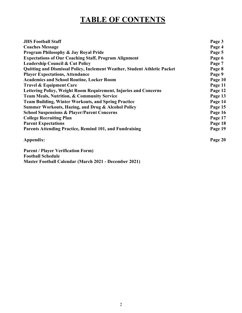# **TABLE OF CONTENTS**

| <b>JHS Football Staff</b>                                                 | Page 3  |
|---------------------------------------------------------------------------|---------|
| <b>Coaches Message</b>                                                    | Page 4  |
| Program Philosophy & Jay Royal Pride                                      | Page 5  |
| <b>Expectations of Our Coaching Staff, Program Alignment</b>              | Page 6  |
| <b>Leadership Council &amp; Cut Policy</b>                                | Page 7  |
| Quitting and Dismissal Policy, Inclement Weather, Student Athletic Packet | Page 8  |
| <b>Player Expectations, Attendance</b>                                    | Page 9  |
| <b>Academics and School Routine, Locker Room</b>                          | Page 10 |
| <b>Travel &amp; Equipment Care</b>                                        | Page 11 |
| Lettering Policy, Weight Room Requirement, Injuries and Concerns          | Page 12 |
| <b>Team Meals, Nutrition, &amp; Community Service</b>                     | Page 13 |
| <b>Team Building, Winter Workouts, and Spring Practice</b>                | Page 14 |
| <b>Summer Workouts, Hazing, and Drug &amp; Alcohol Policy</b>             | Page 15 |
| <b>School Suspensions &amp; Player/Parent Concerns</b>                    | Page 16 |
| <b>College Recruiting Plan</b>                                            | Page 17 |
| <b>Parent Expectations</b>                                                | Page 18 |
| <b>Parents Attending Practice, Remind 101, and Fundraising</b>            | Page 19 |
| Appendix:                                                                 | Page 20 |
| <b>Parent / Player Verification Form)</b>                                 |         |
| <b>Football Schedule</b>                                                  |         |
| <b>Master Football Calendar (March 2021 - December 2021)</b>              |         |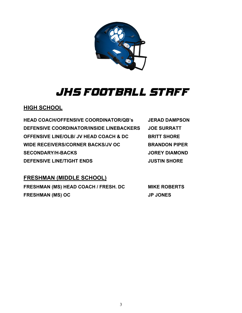

# **JHS FOOTBALL STAFF**

# **HIGH SCHOOL**

**HEAD COACH/OFFENSIVE COORDINATOR/QB's JERAD DAMPSON DEFENSIVE COORDINATOR/INSIDE LINEBACKERS JOE SURRATT OFFENSIVE LINE/OLB/ JV HEAD COACH & DC BRITT SHORE WIDE RECEIVERS/CORNER BACKS/JV OC BRANDON PIPER SECONDARY/H-BACKS JOREY DIAMOND DEFENSIVE LINE/TIGHT ENDS JUSTIN SHORE**

# **FRESHMAN (MIDDLE SCHOOL)**

**FRESHMAN (MS) HEAD COACH / FRESH. DC MIKE ROBERTS FRESHMAN (MS) OC JP JONES**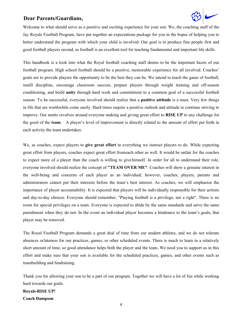#### **Dear Parents/Guardians,**



Welcome to what should serve as a positive and exciting experience for your son. We, the coaching staff of the Jay Royals Football Program, have put together an expectations package for you in the hopes of helping you to better understand the program with which your child is involved. Our goal is to produce fine people first and good football players second, as football is an excellent tool for teaching fundamental and important life skills.

This handbook is a look into what the Royal football coaching staff deems to be the important facets of our football program. High school football should be a positive, memorable experience for all involved. Coaches' goals are to provide players the opportunity to be the best they can be. We intend to teach the game of football, instill discipline, encourage classroom success, prepare players through weight training and off-season conditioning, and build **unity** through hard work and commitment to a common goal of a successful football season. To be successful, everyone involved should realize that a **positive attitude** is a must. Very few things in life that are worthwhile come easily. Hard times require a positive outlook and attitude to continue striving to improve. Our motto revolves around everyone making and giving great effort to **RISE UP** to any challenge for the good of the **team**. A player's level of improvement is directly related to the amount of effort put forth in each activity the team undertakes.

We, as coaches, expect players to **give great effort** in everything we instruct players to do. While expecting great effort from players, coaches expect great effort fromeach other as well. It would be unfair for the coaches to expect more of a player than the coach is willing to give himself. In order for all to understand their role, everyone involved should realize the concept of **"TEAM OVER ME"**. Coaches will show a genuine interest in the well-being and concerns of each player as an individual; however, coaches, players, parents and administrators cannot put their interests before the team's best interest. As coaches, we will emphasize the importance of player accountability. It is expected that players will be individually responsible for their actions and day-to-day choices. Everyone should remember, "Playing football is a privilege, not a right". There is no room for special privileges on a team. Everyone is expected to abide by the same standards and serve the same punishment when they do not. In the event an individual player becomes a hindrance to the team's goals, that player may be removed.

The Royal Football Program demands a great deal of time from our student athletes, and we do not tolerate absences orlateness for our practices, games, or other scheduled events. There is much to learn in a relatively short amount of time, so good attendance helps both the player and the team. We need you to support us in this effort and make sure that your son is available for the scheduled practices, games, and other events such as teambuilding and fundraising.

Thank you for allowing your son to be a part of our program. Together we will have a lot of fun while working hard towards our goals.

## **Royals-RISE UP! Coach Dampson**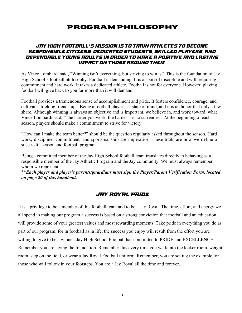# Program Philosophy

#### **Jay High Football's mission is to train athletes to become responsible citizens, dedicated students, skilled players, and dependable young adults in order to make a positive and lasting impact on those around them.**

As Vince Lombardi said, "Winning isn't everything, but striving to win is". This is the foundation of Jay High School's football philosophy. Football is demanding. It is a sport of discipline and will, requiring commitment and hard work. It takes a dedicated athlete. Football is not for everyone. However, playing football will give back to you far more than it will demand.

Football provides a tremendous sense of accomplishment and pride. It fosters confidence, courage, and cultivates lifelong friendships. Being a football player is a state of mind, and it is an honor that only a few share. Although winning is always an objective and is important, we believe in, and work toward, what Vince Lombardi said, "The harder you work, the harder it is to surrender." At the beginning of each season, players should make a commitment to strive for victory.

"How can I make the team better?" should be the question regularly asked throughout the season. Hard work, discipline, commitment, and sportsmanship are imperative. These traits are how we define a successful season and football program.

Being a committed member of the Jay High School football team translates directly to behaving as a responsible member of the Jay Athletic Program and the Jay community. We must always remember whom we represent.

\*\**Each player and player's parents/guardians must sign the Player/Parent Verification Form, located on page 20 of this handbook.*

# **Jay Royal Pride**

It is a privilege to be a member of this football team and to be a Jay Royal. The time, effort, and energy we all spend in making our program a success is based on a strong conviction that football and an education will provide some of your greatest values and most rewarding moments. Take pride in everything you do as part of our program, for in football as in life, the success you enjoy will result from the effort you are willing to give to be a winner. Jay High School Football has committed to PRIDE and EXCELLENCE. Remember you are laying the foundation. Remember this every time you walk into the locker room, weight room, step on the field, or wear a Jay Royal Football uniform. Remember, you are setting the example for those who will follow in your footsteps. You are a Jay Royal all the time and forever.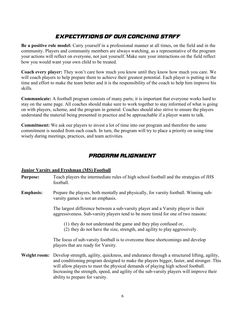# **Expectations of Our Coaching Staff**

**Be a positive role model:** Carry yourself in a professional manner at all times, on the field and in the community. Players and community members are always watching, as a representative of the program your actions will reflect on everyone, not just yourself. Make sure your interactions on the field reflect how you would want your own child to be treated.

**Coach every player:** They won't care how much you know until they know how much you care. We will coach players to help prepare them to achieve their greatest potential. Each player is putting in the time and effort to make the team better and it is the responsibility of the coach to help him improve his skills.

**Communicate:** A football program consists of many parts; it is important that everyone works hard to stay on the same page. All coaches should make sure to work together to stay informed of what is going on with players, scheme, and the program in general. Coaches should also strive to ensure the players understand the material being presented in practice and be approachable if a player wants to talk.

**Commitment:** We ask our players to invest a lot of time into our program and therefore the same commitment is needed from each coach. In turn, the program will try to place a priority on using time wisely during meetings, practices, and team activities.

# **Program Alignment**

#### **Junior Varsity and Freshman (MS) Football**

- **Purpose:** Teach players the intermediate rules of high school football and the strategies of JHS football.
- **Emphasis:** Prepare the players, both mentally and physically, for varsity football. Winning subvarsity games is not an emphasis.

The largest difference between a sub-varsity player and a Varsity player is their aggressiveness. Sub-varsity players tend to be more timid for one of two reasons:

- (1) they do not understand the game and they play confused or,
- (2) they do not have the size, strength, and agility to play aggressively.

The focus of sub-varsity football is to overcome these shortcomings and develop players that are ready for Varsity.

**Weight room:** Develop strength, agility, quickness, and endurance through a structured lifting, agility, and conditioning program designed to make the players bigger, faster, and stronger. This will allow players to meet the physical demands of playing high school football. Increasing the strength, speed, and agility of the sub-varsity players will improve their ability to prepare for varsity.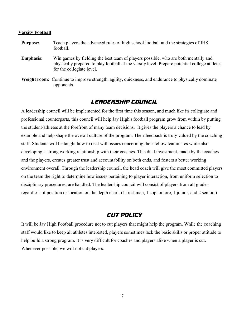#### **Varsity Football**

- **Purpose:** Teach players the advanced rules of high school football and the strategies of JHS football.
- **Emphasis:** Win games by fielding the best team of players possible, who are both mentally and physically prepared to play football at the varsity level. Prepare potential college athletes for the collegiate level.
- **Weight room:** Continue to improve strength, agility, quickness, and endurance to physically dominate opponents.

#### **Leadership Council**

A leadership council will be implemented for the first time this season, and much like its collegiate and professional counterparts, this council will help Jay High's football program grow from within by putting the student-athletes at the forefront of many team decisions. It gives the players a chance to lead by example and help shape the overall culture of the program. Their feedback is truly valued by the coaching staff. Students will be taught how to deal with issues concerning their fellow teammates while also developing a strong working relationship with their coaches. This dual investment, made by the coaches and the players, creates greater trust and accountability on both ends, and fosters a better working environment overall. Through the leadership council, the head coach will give the most committed players on the team the right to determine how issues pertaining to player interaction, from uniform selection to disciplinary procedures, are handled. The leadership council will consist of players from all grades regardless of position or location on the depth chart. (1 freshman, 1 sophomore, 1 junior, and 2 seniors)

#### **Cut Policy**

It will be Jay High Football procedure not to cut players that might help the program. While the coaching staff would like to keep all athletes interested, players sometimes lack the basic skills or proper attitude to help build a strong program. It is very difficult for coaches and players alike when a player is cut. Whenever possible, we will not cut players.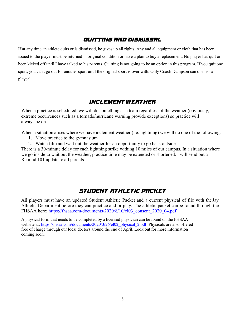# **QUITTING AND DISMISSAL**

If at any time an athlete quits or is dismissed, he gives up all rights. Any and all equipment or cloth that has been issued to the player must be returned in original condition or have a plan to buy a replacement. No player has quit or been kicked off until I have talked to his parents. Quitting is not going to be an option in this program. If you quit one sport, you can't go out for another sport until the original sport is over with. Only Coach Dampson can dismiss a player!

## **INCLEMENT WEATHER**

When a practice is scheduled, we will do something as a team regardless of the weather (obviously, extreme occurrences such as a tornado/hurricane warning provide exceptions) so practice will always be on.

When a situation arises where we have inclement weather (i.e. lightning) we will do one of the following:

- 1. Move practice to the gymnasium
- 2. Watch film and wait out the weather for an opportunity to go back outside

There is a 30-minute delay for each lightning strike withing 10 miles of our campus. In a situation where we go inside to wait out the weather, practice time may be extended or shortened. I will send out a Remind 101 update to all parents.

# **Student Athletic Packet**

All players must have an updated Student Athletic Packet and a current physical of file with the Jay Athletic Department before they can practice and or play. The athletic packet canbe found through the FHSAA here: [https://fhsaa.com/documents/2020/8/10/el03\\_consent\\_2020\\_04.pdf](https://fhsaa.com/documents/2020/8/10/el03_consent_2020_04.pdf)

A physical form that needs to be completed by a licensed physician can be found on the FHSAA website at: [https://fhsaa.com/documents/2020/3/26/el02\\_physical\\_2.pdf](https://fhsaa.com/documents/2020/3/26/el02_physical_2.pdf) Physicals are also offered free of charge through our local doctors around the end of April. Look out for more information coming soon.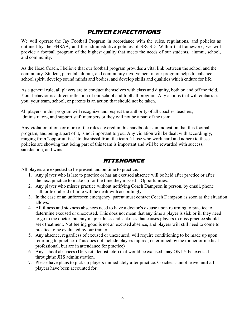# **Player Expectations**

We will operate the Jay Football Program in accordance with the rules, regulations, and policies as outlined by the FHSAA, and the administrative policies of SRCSD. Within that framework, we will provide a football program of the highest quality that meets the needs of our students, alumni, school, and community.

As the Head Coach, I believe that our football program provides a vital link between the school and the community. Student, parental, alumni, and community involvement in our program helps to enhance school spirit, develop sound minds and bodies, and develop skills and qualities which endure for life.

As a general rule, all players are to conduct themselves with class and dignity, both on and off the field. Your behavior is a direct reflection of our school and football program. Any actions that will embarrass you, your team, school, or parents is an action that should not be taken.

All players in this program will recognize and respect the authority of all coaches, teachers, administrators, and support staff members or they will not be a part of the team.

Any violation of one or more of the rules covered in this handbook is an indication that this football program, and being a part of it, is not important to you. Any violation will be dealt with accordingly, ranging from "opportunities" to dismissal from the team. Those who work hard and adhere to these policies are showing that being part of this team is important and will be rewarded with success, satisfaction, and wins.

## **Attendance**

All players are expected to be present and on time to practice.

- 1. Any player who is late to practice or has an excused absence will be held after practice or after the next practice to make up for the time they missed – Opportunities.
- 2. Any player who misses practice without notifying Coach Dampson in person, by email, phone call, or text ahead of time will be dealt with accordingly.
- 3. In the case of an unforeseen emergency, parent must contact Coach Dampson as soon as the situation allows.
- 4. All illness and sickness absences need to have a doctor's excuse upon returning to practice to determine excused or unexcused. This does not mean that any time a player is sick or ill they need to go to the doctor, but any major illness and sickness that causes players to miss practice should seek treatment. Not feeling good is not an excused absence, and players will still need to come to practice to be evaluated by our trainer.
- 5. Any absence, regardless of excused or unexcused, will require conditioning to be made up upon returning to practice. (This does not include players injured, determined by the trainer or medical professional, but are in attendance for practice)
- 6. Any school absences (Dr. visit, dentist, etc.) that would be excused, may ONLY be excused throughthe JHS administration.
- 7. Please have plans to pick up players immediately after practice. Coaches cannot leave until all players have been accounted for.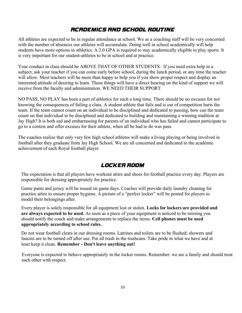# **Academics and School Routine**

All athletes are expected to be in regular attendance at school. We as a coaching staff will be very concerned with the number of absences our athletes will accumulate. Doing well in school academically will help students have more options in athletics. A 2.0 GPA is required to stay academically eligible to play sports. It is very important for our student-athletes to be in school and at practice.

Your conduct in class should be ABOVE THAT OF OTHER STUDENTS. If you need extra help in a subject, ask your teacher if you can come early before school, during the lunch period, or any time the teacher will allow. Most teachers will be more than happy to help you if you show proper respect and display an interested attitude of desiring to learn. These things will have a direct bearing on the kind of support we will receive from the faculty and administration. WE NEED THEIR SUPPORT.

NO PASS, NO PLAY has been a part of athletics for such a long time. There should be no excuses for not knowing the consequences of failing a class. A student athlete that fails and is out of competition hurts the team. If the team cannot count on an individual to be disciplined and dedicated to passing, how can the team count on that individual to be disciplined and dedicated to building and maintaining a winning tradition at Jay High? It is both sad and embarrassing for parents of an individual who has failed and cannot participate to go to a contest and offer excuses for their athlete, when all he had to do was pass.

The coaches realize that only very few high school athletes will make a living playing or being involved in football after they graduate from Jay High School. We are all concerned and dedicated to the academic achievement of each Royal football player.

## **Locker Room**

The expectation is that all players have workout attire and shoes for football practice every day. Players are responsible for dressing appropriately for practice.

Game pants and jersey will be issued on game days. Coaches will provide daily laundry cleaning for practice attire to ensure proper hygiene. A picture of a "perfect locker" will be posted for players to model their belongings after.

Every player is solely responsible for all equipment lost or stolen. **Locks for lockers are provided and are always expected to be used.** As soon as a piece of your equipment is noticed to be missing you should notify the coach and make arrangements to replace the items. **Cell phones must be used appropriately according to school rules.**

Do not wear football cleats in our dressing rooms. Latrines and toilets are to be flushed; showers and faucets are to be turned off after use. Put all trash in the trashcans. Take pride in what we have and at least keep it clean. **Remember - Don't leave anything out!**

Everyone is expected to behave appropriately in the locker rooms. Remember: we are a family and should treat each other with respect.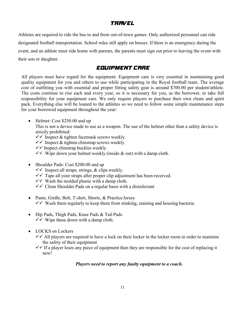# **TRAVEL**

Athletes are required to ride the bus to and from out-of-town games. Only authorized personnel can ride designated football transportation. School rules still apply on busses. If there is an emergency during the event, and an athlete must ride home with parents, the parents must sign out prior to leaving the event with their son or daughter.

## **Equipment Care**

All players must have regard for the equipment. Equipment care is very essential in maintaining good quality equipment for you and others to use while participating in the Royal football team. The average cost of outfitting you with essential and proper fitting safety gear is around \$700.00 per student/athlete. The costs continue to rise each and every year, so it is necessary for you, as the borrower, to take full responsibility for your equipment care. We only require players to purchase their own cleats and spirit pack. Everything else will be loaned to the athletes so we need to follow some simple maintenance steps for your borrowed equipment throughout the year:

• Helmet: Cost \$250.00 and up

This is not a device made to use as a weapon. The use of the helmet other than a safety device is strictly prohibited:

- $\checkmark$  Inspect & tighten facemask screws weekly.
- $\checkmark$  Inspect & tighten chinstrap screws weekly.
- $\checkmark$  Inspect chinstrap buckles weekly.
- $\checkmark$  Wipe down your helmet weekly (inside & out) with a damp cloth.
- Shoulder Pads: Cost \$200.00 and up
	- $\checkmark$  Inspect all straps, strings, & clips weekly.
	- $\checkmark$  Tape all your straps after proper clip adjustment has been received.
	- $\checkmark$  Wash the molded plastic with a damp cloth.
	- $\checkmark$  Clean Shoulder Pads on a regular basis with a disinfectant
- Pants, Girdle, Belt, T-shirt, Shorts, & Practice Jersey  $\checkmark$  Wash them regularly to keep them from stinking, staining and housing bacteria.
- Hip Pads, Thigh Pads, Knee Pads & Tail Pads  $\checkmark$  Wipe these down with a damp cloth.
- LOCKS on Lockers
	- $\checkmark$  All players are required to have a lock on their locker in the locker room in order to maintain the safety of their equipment
	- $\checkmark$  If a player loses any piece of equipment then they are responsible for the cost of replacing it new!

#### *Players need to report any faulty equipment to a coach.*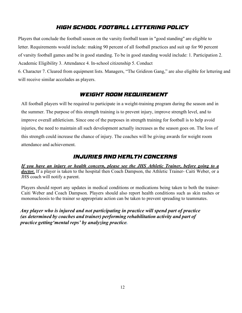# **High School Football Lettering Policy**

Players that conclude the football season on the varsity football team in "good standing" are eligible to letter. Requirements would include: making 90 percent of all football practices and suit up for 90 percent of varsity football games and be in good standing. To be in good standing would include: 1. Participation 2. Academic Eligibility 3. Attendance 4. In-school citizenship 5. Conduct

6. Character 7. Cleared from equipment lists. Managers, "The Gridiron Gang," are also eligible for lettering and will receive similar accolades as players.

## **Weight Room Requirement**

All football players will be required to participate in a weight-training program during the season and in the summer. The purpose of this strength training is to prevent injury, improve strength level, and to improve overall athleticism. Since one of the purposes in strength training for football is to help avoid injuries, the need to maintain all such development actually increases as the season goes on. The loss of this strength could increase the chance of injury. The coaches will be giving awards for weight room attendance and achievement.

# **Injuries and Health Concerns**

*If you have an injury or health concern, please see the JHS Athletic Trainer, before going to a* doctor. If a player is taken to the hospital then Coach Dampson, the Athletic Trainer- Caiti Weber, or a JHS coach will notify a parent.

Players should report any updates in medical conditions or medications being taken to both the trainer-Caiti Weber and Coach Dampson. Players should also report health conditions such as skin rashes or mononucleosis to the trainer so appropriate action can be taken to prevent spreading to teammates.

*Any player who is injured and not participating in practice will spend part of practice (as determined by coaches and trainer) performing rehabilitation activity and part of practice getting'mental reps' by analyzing practice.*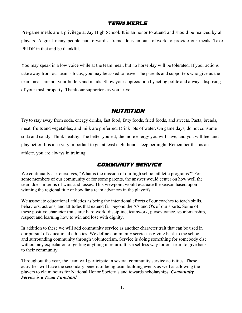#### **Team Meals**

Pre-game meals are a privilege at Jay High School. It is an honor to attend and should be realized by all players. A great many people put forward a tremendous amount of work to provide our meals. Take PRIDE in that and be thankful.

You may speak in a low voice while at the team meal, but no horseplay will be tolerated. If your actions take away from our team's focus, you may be asked to leave. The parents and supporters who give us the team meals are not your butlers and maids. Show your appreciation by acting polite and always disposing of your trash property. Thank our supporters as you leave.

#### **Nutrition**

Try to stay away from soda, energy drinks, fast food, fatty foods, fried foods, and sweets. Pasta, breads, meat, fruits and vegetables, and milk are preferred. Drink lots of water. On game days, do not consume soda and candy. Think healthy. The better you eat, the more energy you will have, and you will feel and play better. It is also very important to get at least eight hours sleep per night. Remember that as an athlete, you are always in training.

## **Community Service**

We continually ask ourselves, "What is the mission of our high school athletic programs?" For some members of our community or for some parents, the answer would center on how well the team does in terms of wins and losses. This viewpoint would evaluate the season based upon winning the regional title or how far a team advances in the playoffs.

We associate educational athletics as being the intentional efforts of our coaches to teach skills, behaviors, actions, and attitudes that extend far beyond the X's and O's of our sports. Some of these positive character traits are: hard work, discipline, teamwork, perseverance, sportsmanship, respect and learning how to win and lose with dignity.

In addition to these we will add community service as another character trait that can be used in our pursuit of educational athletics. We define community service as giving back to the school and surrounding community through volunteerism. Service is doing something for somebody else without any expectation of getting anything in return. It is a selfless way for our team to give back to their community.

Throughout the year, the team will participate in several community service activities. These activities will have the secondary benefit of being team building events as well as allowing the players to claim hours for National Honor Society's and towards scholarships. *Community Service is a Team Function!*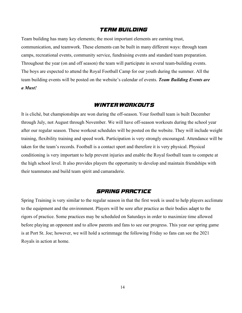#### **Team Building**

Team building has many key elements; the most important elements are earning trust, communication, and teamwork. These elements can be built in many different ways: through team camps, recreational events, community service, fundraising events and standard team preparation. Throughout the year (on and off season) the team will participate in several team-building events. The boys are expected to attend the Royal Football Camp for our youth during the summer. All the team building events will be posted on the website's calendar of events. *Team Building Events are a Must!*

#### **Winter Workouts**

It is cliché, but championships are won during the off-season. Your football team is built December through July, not August through November. We will have off-season workouts during the school year after our regular season. These workout schedules will be posted on the website. They will include weight training, flexibility training and speed work. Participation is very strongly encouraged. Attendance will be taken for the team's records. Football is a contact sport and therefore it is very physical. Physical conditioning is very important to help prevent injuries and enable the Royal football team to compete at the high school level. It also provides players the opportunity to develop and maintain friendships with their teammates and build team spirit and camaraderie.

#### **Spring Practice**

Spring Training is very similar to the regular season in that the first week is used to help players acclimate to the equipment and the environment. Players will be sore after practice as their bodies adapt to the rigors of practice. Some practices may be scheduled on Saturdays in order to maximize time allowed before playing an opponent and to allow parents and fans to see our progress. This year our spring game is at Port St. Joe; however, we will hold a scrimmage the following Friday so fans can see the 2021 Royals in action at home.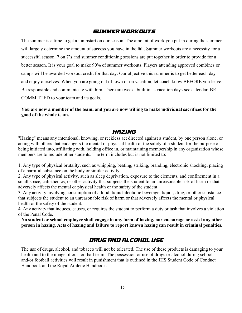#### **Summer Workouts**

The summer is a time to get a jumpstart on our season. The amount of work you put in during the summer will largely determine the amount of success you have in the fall. Summer workouts are a necessity for a successful season. 7 on 7's and summer conditioning sessions are put together in order to provide for a better season. It is your goal to make 90% of summer workouts. Players attending approved combines or camps will be awarded workout credit for that day. Our objective this summer is to get better each day and enjoy ourselves. When you are going out of town or on vacation, let coach know BEFORE you leave. Be responsible and communicate with him. There are weeks built in as vacation days-see calendar. BE COMMITTED to your team and its goals.

**You are now a member of the team, and you are now willing to make individual sacrifices for the good of the whole team.**

#### **Hazing**

"Hazing" means any intentional, knowing, or reckless act directed against a student, by one person alone, or acting with others that endangers the mental or physical health or the safety of a student for the purpose of being initiated into, affiliating with, holding office in, or maintaining membership in any organization whose members are to include other students. The term includes but is not limited to:

1. Any type of physical brutality, such as whipping, beating, striking, branding, electronic shocking, placing of a harmful substance on the body or similar activity.

2. Any type of physical activity, such as sleep deprivation, exposure to the elements, and confinement in a small space, calisthenics, or other activity that subjects the student to an unreasonable risk of harm or that adversely affects the mental or physical health or the safety of the student.

3. Any activity involving consumption of a food, liquid alcoholic beverage, liquor, drug, or other substance that subjects the student to an unreasonable risk of harm or that adversely affects the mental or physical health or the safety of the student.

4. Any activity that induces, causes, or requires the student to perform a duty or task that involves a violation of the Penal Code.

**No student or school employee shall engage in any form of hazing, nor encourage or assist any other person in hazing. Acts of hazing and failure to report known hazing can result in criminal penalties.**

#### **Drug and Alcohol Use**

The use of drugs, alcohol, and tobacco will not be tolerated. The use of these products is damaging to your health and to the image of our football team. The possession or use of drugs or alcohol during school and/or football activities will result in punishment that is outlined in the JHS Student Code of Conduct Handbook and the Royal Athletic Handbook.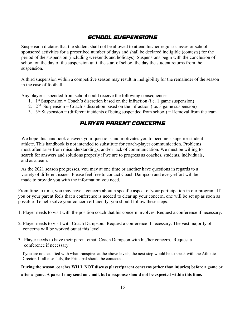# **School Suspensions**

Suspension dictates that the student shall not be allowed to attend his/her regular classes or schoolsponsored activities for a prescribed number of days and shall be declared ineligible (contests) for the period of the suspension (including weekends and holidays). Suspensions begin with the conclusion of school on the day of the suspension until the start of school the day the student returns from the suspension.

A third suspension within a competitive season may result in ineligibility for the remainder of the season in the case of football.

Any player suspended from school could receive the following consequences.

- 1.  $1<sup>st</sup>$  Suspension = Coach's discretion based on the infraction (i.e. 1 game suspension)
- 2.  $2^{nd}$  Suspension = Coach's discretion based on the infraction (i.e. 3 game suspension)
- 3.  $3^{rd}$  Suspension = (different incidents of being suspended from school) = Removal from the team

# **Player/Parent Concerns**

We hope this handbook answers your questions and motivates you to become a superior studentathlete. This handbook is not intended to substitute for coach-player communication. Problems most often arise from misunderstandings, and/or lack of communication. We must be willing to search for answers and solutions properly if we are to progress as coaches, students, individuals, and as a team.

As the 2021 season progresses, you may at one time or another have questions in regards to a variety of different issues. Please feel free to contact Coach Dampson and every effort will be made to provide you with the information you need.

From time to time, you may have a concern about a specific aspect of your participation in our program. If you or your parent feels that a conference is needed to clear up your concern, one will be set up as soon as possible. To help solve your concern efficiently, you should follow these steps:

- 1. Player needs to visit with the position coach that his concern involves. Request a conference if necessary.
- 2. Player needs to visit with Coach Dampson. Request a conference if necessary. The vast majority of concerns will be worked out at this level.
- 3. Player needs to have their parent email Coach Dampson with his/her concern. Request a conference if necessary.

If you are not satisfied with what transpires at the above levels, the next step would be to speak with the Athletic Director. If all else fails, the Principal should be contacted.

**During the season, coaches WILL NOT discuss player/parent concerns (other than injuries) before a game or after a game. A parent may send an email, but a response should not be expected within this time.**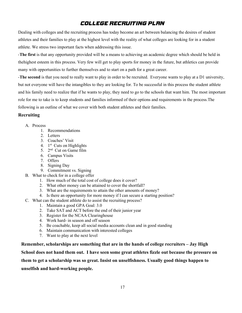# **College Recruiting Plan**

Dealing with colleges and the recruiting process has today become an art between balancing the desires of student athletes and their families to play at the highest level with the reality of what colleges are looking for in a student athlete. We stress two important facts when addressing this issue.

-**The first** is that any opportunity provided will be a means to achieving an academic degree which should be held in thehighest esteem in this process. Very few will get to play sports for money in the future, but athletics can provide many with opportunities to further themselves and to start on a path for a great career.

-**The second** is that you need to really want to play in order to be recruited. Everyone wants to play at a D1 university, but not everyone will have the intangibles to they are looking for. To be successful in this process the student athlete and his family need to realize that if he wants to play, they need to go to the schools that want him. The most important role for me to take is to keep students and families informed of their options and requirements in the process.The following is an outline of what we cover with both student athletes and their families.

#### **Recruiting**

#### A. Process

- 1. Recommendations
- 2. Letters
- 3. Coaches' Visit
- 4.  $1<sup>st</sup>$  Cuts on Highlights
- 5. 2nd Cut on Game film
- 6. Campus Visits
- 7. Offers
- 8. Signing Day
- 9. Commitment vs. Signing
- B. What to check for in a college offer
	- 1. How much of the total cost of college does it cover?
	- 2. What other money can be attained to cover the shortfall?
	- 3. What are the requirements to attain the other amounts of money?
	- 4. Is there an opportunity for more money if I can secure a starting position?
- C. What can the student athlete do to assist the recruiting process?
	- 1. Maintain a good GPA Goal: 3.0
	- 2. Take SAT and ACT before the end of their junior year
	- 3. Register for the NCAA Clearinghouse
	- 4. Work hard- in season and off season
	- 5. Be coachable, keep all social media accounts clean and in good standing
	- 6. Maintain communication with interested colleges
	- 7. Want to play at the next level

**Remember, scholarships are something that are in the hands of college recruiters – Jay High School does not hand them out. I have seen some great athletes fizzle out because the pressure on them to get a scholarship was so great. Insist on unselfishness. Usually good things happen to unselfish and hard-working people.**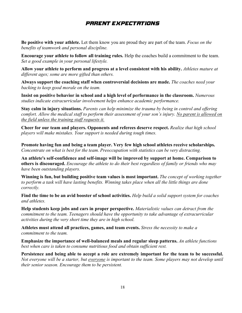# **Parent Expectations**

**Be positive with your athlete.** Let them know you are proud they are part of the team. *Focus on the benefits of teamwork and personal discipline.*

**Encourage your athlete to follow all training rules.** Help the coaches build a commitment to the team. *Set a good example in your personal lifestyle.*

**Allow your athlete to perform and progress at a level consistent with his ability.** *Athletes mature at different ages; some are more gifted than others.*

**Always support the coaching staff when controversial decisions are made.** *The coaches need your backing to keep good morale on the team.*

**Insist on positive behavior in school and a high level of performance in the classroom.** *Numerous studies indicate extracurricular involvement helps enhance academic performance.*

**Stay calm in injury situations.** *Parents can help minimize the trauma by being in control and offering comfort. Allow the medical staff to perform their assessment of your son's injury. No parent is allowed on the field unless the training staff requests it.*

**Cheer for our team and players. Opponents and referees deserve respect.** *Realize that high school players will make mistakes. Your support is needed during tough times.*

**Promote having fun and being a team player. Very few high school athletes receive scholarships.** *Concentrate on what is best for the team. Preoccupation with statistics can be very distracting.*

**An athlete's self-confidence and self-image will be improved by support at home. Comparison to others is discouraged.** *Encourage the athlete to do their best regardless of family or friends who may have been outstanding players.*

**Winning is fun, but building positive team values is most important.** *The concept of working together to perform a task will have lasting benefits. Winning takes place when all the little things are done correctly.*

**Find the time to be an avid booster of school activities.** *Help build a solid support system for coaches and athletes.*

**Help students keep jobs and cars in proper perspective.** *Materialistic values can detract from the commitment to the team. Teenagers should have the opportunity to take advantage of extracurricular activities during the very short time they are in high school.*

**Athletes must attend all practices, games, and team events.** *Stress the necessity to make a commitment to the team.*

**Emphasize the importance of well-balanced meals and regular sleep patterns.** *An athlete functions best when care is taken to consume nutritious food and obtain sufficient rest.*

**Persistence and being able to accept a role are extremely important for the team to be successful.**  *Not everyone will be a starter, but everyone is important to the team. Some players may not develop until their senior season. Encourage them to be persistent.*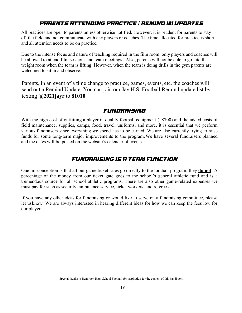# **Parents Attending Practice / Remind 101 UPDATES**

All practices are open to parents unless otherwise notified. However, it is prudent for parents to stay off the field and not communicate with any players or coaches. The time allocated for practice is short, and all attention needs to be on practice.

Due to the intense focus and nature of teaching required in the film room, only players and coaches will be allowed to attend film sessions and team meetings. Also, parents will not be able to go into the weight room when the team is lifting. However, when the team is doing drills in the gym parents are welcomed to sit in and observe.

Parents, in an event of a time change to practice, games, events, etc. the coaches will send out a Remind Update. You can join our Jay H.S. Football Remind update list by texting **@2021jayr** to **81010**

#### **Fundraising**

With the high cost of outfitting a player in quality football equipment  $(\sim$ \$700) and the added costs of field maintenance, supplies, camps, food, travel, uniforms, and more, it is essential that we perform various fundraisers since everything we spend has to be earned. We are also currently trying to raise funds for some long-term major improvements to the program.We have several fundraisers planned and the dates will be posted on the website's calendar of events.

## **Fundraising is a Team Function**

One misconception is that all our game ticket sales go directly to the football program; they **do not**! A percentage of the money from our ticket gate goes to the school's general athletic fund and is a tremendous source for all school athletic programs. There are also other game-related expenses we must pay for such as security, ambulance service, ticket workers, and referees.

If you have any other ideas for fundraising or would like to serve on a fundraising committee, please let usknow. We are always interested in hearing different ideas for how we can keep the fees low for our players.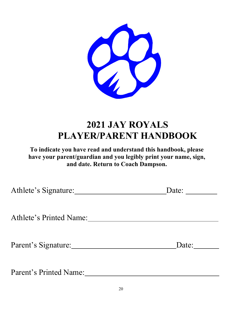

# **2021 JAY ROYALS PLAYER/PARENT HANDBOOK**

**To indicate you have read and understand this handbook, please have your parent/guardian and you legibly print your name, sign, and date. Return to Coach Dampson.**

| Athlete's Signature:          | Date: |
|-------------------------------|-------|
| Athlete's Printed Name:       |       |
| Parent's Signature:           | Date: |
| <b>Parent's Printed Name:</b> |       |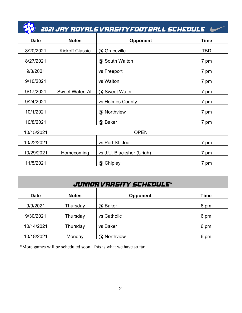|             |                        | 2021 JRY ROYRLS VRRSITYFOOTBRLL SCHEDULE |                |
|-------------|------------------------|------------------------------------------|----------------|
| <b>Date</b> | <b>Notes</b>           | <b>Opponent</b>                          | <b>Time</b>    |
| 8/20/2021   | <b>Kickoff Classic</b> | @ Graceville                             | <b>TBD</b>     |
| 8/27/2021   |                        | @ South Walton                           | 7 pm           |
| 9/3/2021    |                        | vs Freeport                              | 7 pm           |
| 9/10/2021   |                        | vs Walton                                | 7 pm           |
| 9/17/2021   | Sweet Water, AL        | @ Sweet Water                            | 7 pm           |
| 9/24/2021   |                        | vs Holmes County                         | 7 pm           |
| 10/1/2021   |                        | @ Northview                              | 7 pm           |
| 10/8/2021   |                        | @ Baker                                  | 7 pm           |
| 10/15/2021  | <b>OPEN</b>            |                                          |                |
| 10/22/2021  |                        | vs Port St. Joe                          | 7 pm           |
| 10/29/2021  | Homecoming             | vs J.U. Blacksher (Uriah)                | $7 \text{ pm}$ |
| 11/5/2021   |                        | @ Chipley                                | $7 \text{ pm}$ |

| <b>JUNIOR VARSITY SCHEDULE*</b> |              |                 |             |  |
|---------------------------------|--------------|-----------------|-------------|--|
| <b>Date</b>                     | <b>Notes</b> | <b>Opponent</b> | <b>Time</b> |  |
| 9/9/2021                        | Thursday     | @ Baker         | 6 pm        |  |
| 9/30/2021                       | Thursday     | vs Catholic     | 6 pm        |  |
| 10/14/2021                      | Thursday     | vs Baker        | 6 pm        |  |
| 10/18/2021                      | Monday       | @ Northview     | 6 pm        |  |

\*More games will be scheduled soon. This is what we have so far.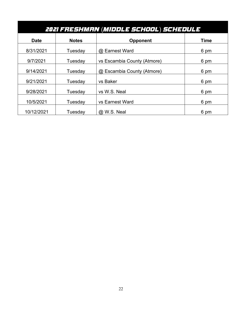| 2021 FRESHMAN (MIDDLE SCHOOL) SCHEDULE |              |                             |             |
|----------------------------------------|--------------|-----------------------------|-------------|
| <b>Date</b>                            | <b>Notes</b> | <b>Opponent</b>             | <b>Time</b> |
| 8/31/2021                              | Tuesday      | @ Earnest Ward              | 6 pm        |
| 9/7/2021                               | Tuesdav      | vs Escambia County (Atmore) | 6 pm        |
| 9/14/2021                              | Tuesday      | @ Escambia County (Atmore)  | 6 pm        |
| 9/21/2021                              | Tuesday      | vs Baker                    | 6 pm        |
| 9/28/2021                              | Tuesday      | vs W.S. Neal                | 6 pm        |
| 10/5/2021                              | Tuesday      | vs Earnest Ward             | 6 pm        |
| 10/12/2021                             | Tuesday      | @ W.S. Neal                 | 6 pm        |